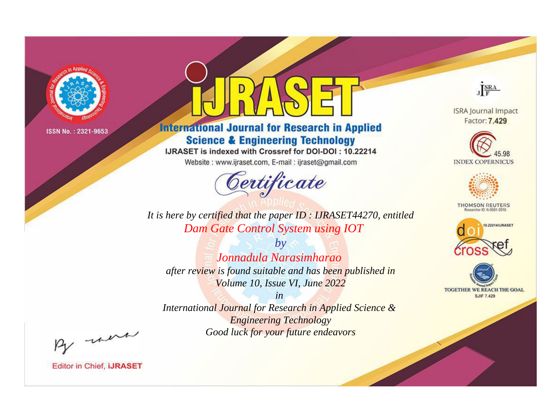

# **International Journal for Research in Applied Science & Engineering Technology**

IJRASET is indexed with Crossref for DOI-DOI: 10.22214

Website: www.ijraset.com, E-mail: ijraset@gmail.com



JERA

**ISRA Journal Impact** Factor: 7.429





**THOMSON REUTERS** 



TOGETHER WE REACH THE GOAL **SJIF 7.429** 

It is here by certified that the paper ID: IJRASET44270, entitled Dam Gate Control System using IOT

 $b\nu$ Jonnadula Narasimharao after review is found suitable and has been published in Volume 10, Issue VI, June 2022

 $in$ International Journal for Research in Applied Science & **Engineering Technology** Good luck for your future endeavors

By morn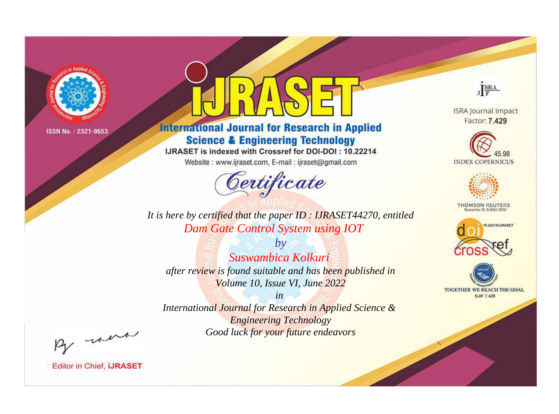

# **International Journal for Research in Applied Science & Engineering Technology**

IJRASET is indexed with Crossref for DOI-DOI: 10.22214

Website: www.ijraset.com, E-mail: ijraset@gmail.com



JERA

**ISRA Journal Impact** Factor: 7.429





**THOMSON REUTERS** 



TOGETHER WE REACH THE GOAL **SJIF 7.429** 

It is here by certified that the paper ID: IJRASET44270, entitled Dam Gate Control System using IOT

 $b\nu$ Suswambica Kolkuri after review is found suitable and has been published in Volume 10, Issue VI, June 2022

 $in$ International Journal for Research in Applied Science & **Engineering Technology** Good luck for your future endeavors

By morn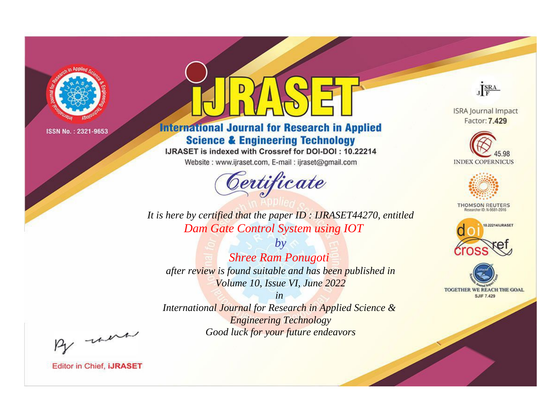

# **International Journal for Research in Applied Science & Engineering Technology**

IJRASET is indexed with Crossref for DOI-DOI: 10.22214

Website: www.ijraset.com, E-mail: ijraset@gmail.com



JERA

**ISRA Journal Impact** Factor: 7.429





**THOMSON REUTERS** 



TOGETHER WE REACH THE GOAL **SJIF 7.429** 

It is here by certified that the paper ID: IJRASET44270, entitled Dam Gate Control System using IOT

 $b\nu$ **Shree Ram Ponugoti** after review is found suitable and has been published in Volume 10, Issue VI, June 2022

 $in$ International Journal for Research in Applied Science & **Engineering Technology** Good luck for your future endeavors

By morn